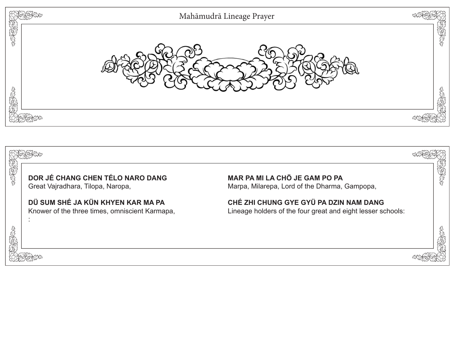

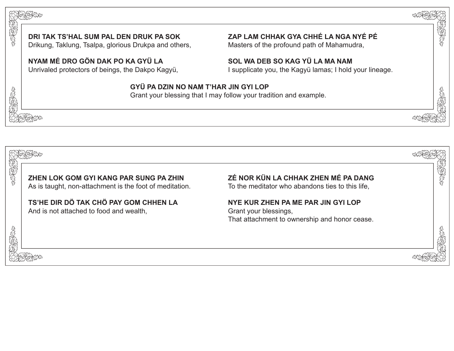



2020

天地地震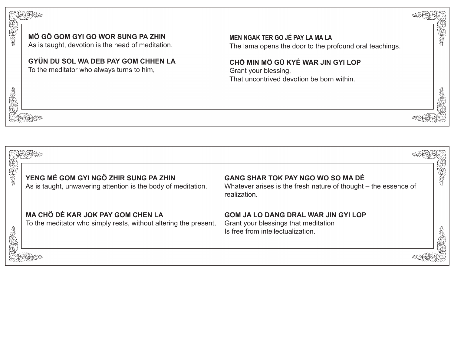

我好好吧

## **MÖ GÖ GOM GYI GO WOR SUNG PA ZHIN**

As is taught, devotion is the head of meditation.

**GYÜN DU SOL WA DEB PAY GOM CHHEN LA** To the meditator who always turns to him,

**MEN NGAK TER GO JÉ PAY LA MA LA**  The lama opens the door to the profound oral teachings. EN CONTROLLER

**ACCES** 

**CHÖ MIN MÖ GÜ KYÉ WAR JIN GYI LOP** 

Grant your blessing, That uncontrived devotion be born within.

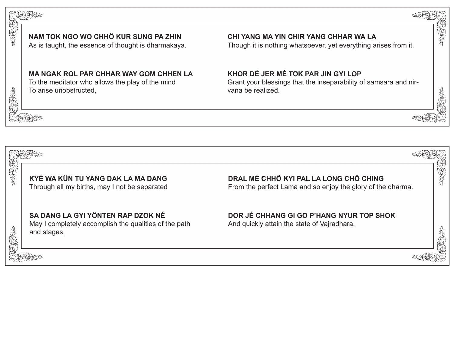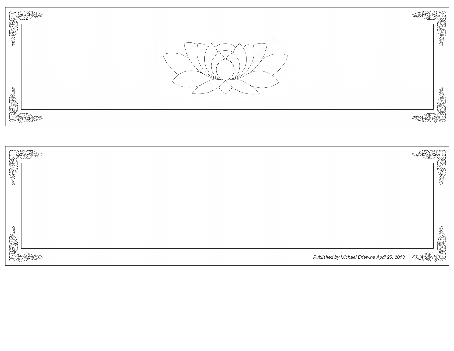| September | 大学生  |
|-----------|------|
|           | SERE |
|           |      |

| SARANT |                                              | 446563 |
|--------|----------------------------------------------|--------|
|        |                                              |        |
|        |                                              |        |
|        |                                              |        |
| 有好好    |                                              | 通復性    |
|        | Published by Michael Erlewine April 25, 2018 | ARA    |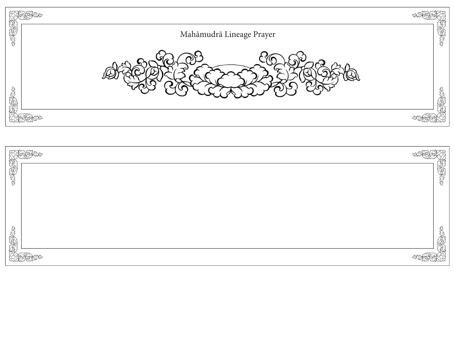

| <b>ABAR</b> |        |
|-------------|--------|
|             | 大きいのかず |
|             |        |
|             |        |
|             |        |
|             | SPENCE |
| azr         |        |